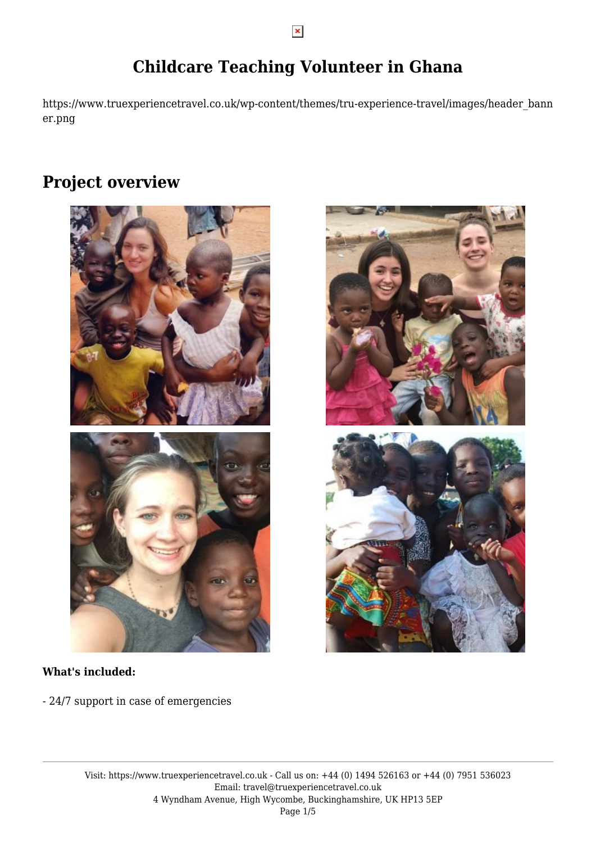# **Childcare Teaching Volunteer in Ghana**

https://www.truexperiencetravel.co.uk/wp-content/themes/tru-experience-travel/images/header\_bann er.png

## **Project overview**





- 24/7 support in case of emergencies

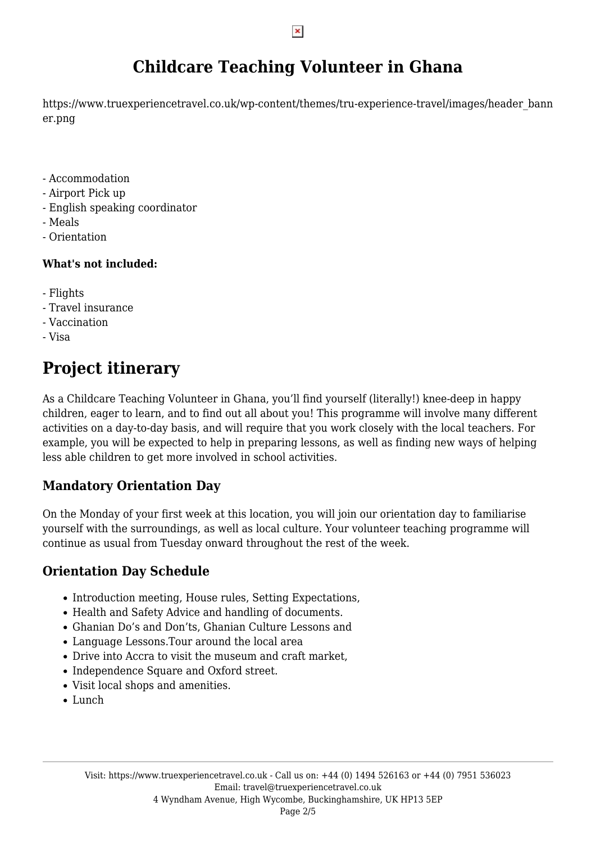# **Childcare Teaching Volunteer in Ghana**

https://www.truexperiencetravel.co.uk/wp-content/themes/tru-experience-travel/images/header\_bann er.png

- Accommodation
- Airport Pick up
- English speaking coordinator
- Meals
- Orientation

### **What's not included:**

- Flights
- Travel insurance
- Vaccination
- Visa

# **Project itinerary**

As a Childcare Teaching Volunteer in Ghana, you'll find yourself (literally!) knee-deep in happy children, eager to learn, and to find out all about you! This programme will involve many different activities on a day-to-day basis, and will require that you work closely with the local teachers. For example, you will be expected to help in preparing lessons, as well as finding new ways of helping less able children to get more involved in school activities.

## **Mandatory Orientation Day**

On the Monday of your first week at this location, you will join our orientation day to familiarise yourself with the surroundings, as well as local culture. Your volunteer teaching programme will continue as usual from Tuesday onward throughout the rest of the week.

### **Orientation Day Schedule**

- Introduction meeting, House rules, Setting Expectations,
- Health and Safety Advice and handling of documents.
- Ghanian Do's and Don'ts, Ghanian Culture Lessons and
- Language Lessons.Tour around the local area
- Drive into Accra to visit the museum and craft market,
- Independence Square and Oxford street.
- Visit local shops and amenities.
- Lunch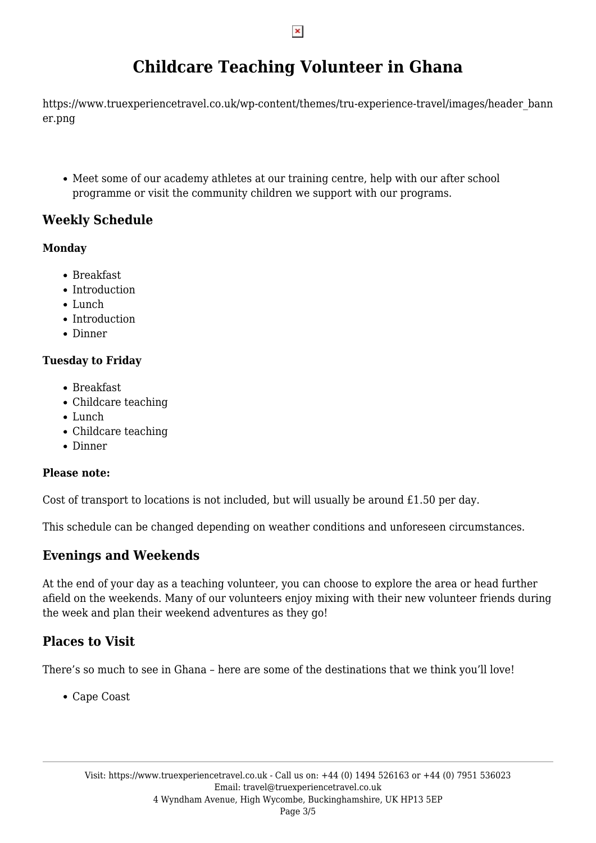# **Childcare Teaching Volunteer in Ghana**

https://www.truexperiencetravel.co.uk/wp-content/themes/tru-experience-travel/images/header\_bann er.png

Meet some of our academy athletes at our training centre, help with our after school programme or visit the community children we support with our programs.

## **Weekly Schedule**

### **Monday**

- Breakfast
- Introduction
- Lunch
- Introduction
- Dinner

### **Tuesday to Friday**

- Breakfast
- Childcare teaching
- Lunch
- Childcare teaching
- Dinner

### **Please note:**

Cost of transport to locations is not included, but will usually be around £1.50 per day.

This schedule can be changed depending on weather conditions and unforeseen circumstances.

## **Evenings and Weekends**

At the end of your day as a teaching volunteer, you can choose to explore the area or head further afield on the weekends. Many of our volunteers enjoy mixing with their new volunteer friends during the week and plan their weekend adventures as they go!

## **Places to Visit**

There's so much to see in Ghana – here are some of the destinations that we think you'll love!

Cape Coast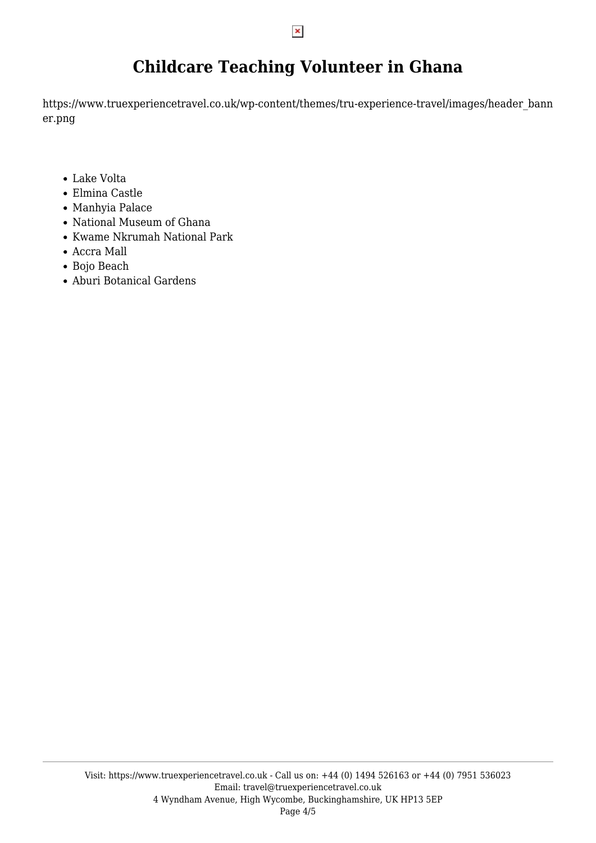# **Childcare Teaching Volunteer in Ghana**

https://www.truexperiencetravel.co.uk/wp-content/themes/tru-experience-travel/images/header\_bann er.png

- Lake Volta
- Elmina Castle
- Manhyia Palace
- National Museum of Ghana
- Kwame Nkrumah National Park
- Accra Mall
- Bojo Beach
- Aburi Botanical Gardens